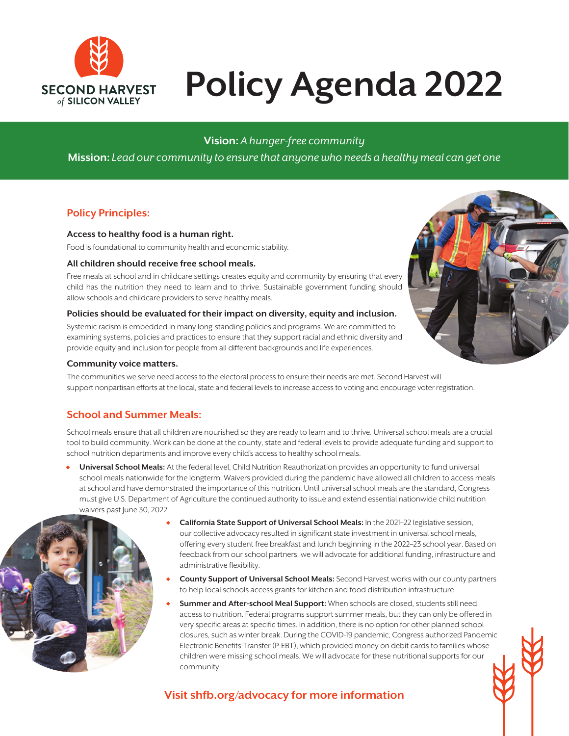

# **Policy Agenda 2022**

# **Vision:** *A hunger-free community*

**Mission:** *Lead our community to ensure that anyone who needs a healthy meal can get one*

## **Policy Principles:**

#### **Access to healthy food is a human right.**

Food is foundational to community health and economic stability.

#### **All children should receive free school meals.**

Free meals at school and in childcare settings creates equity and community by ensuring that every child has the nutrition they need to learn and to thrive. Sustainable government funding should allow schools and childcare providers to serve healthy meals.

#### **Policies should be evaluated for their impact on diversity, equity and inclusion.**

Systemic racism is embedded in many long-standing policies and programs. We are committed to examining systems, policies and practices to ensure that they support racial and ethnic diversity and provide equity and inclusion for people from all different backgrounds and life experiences.

#### **Community voice matters.**

The communities we serve need access to the electoral process to ensure their needs are met. Second Harvest will support nonpartisan efforts at the local, state and federal levels to increase access to voting and encourage voter registration.

### **School and Summer Meals:**

School meals ensure that all children are nourished so they are ready to learn and to thrive. Universal school meals are a crucial tool to build community. Work can be done at the county, state and federal levels to provide adequate funding and support to school nutrition departments and improve every child's access to healthy school meals.

• **Universal School Meals:** At the federal level, Child Nutrition Reauthorization provides an opportunity to fund universal school meals nationwide for the longterm. Waivers provided during the pandemic have allowed all children to access meals at school and have demonstrated the importance of this nutrition. Until universal school meals are the standard, Congress must give U.S. Department of Agriculture the continued authority to issue and extend essential nationwide child nutrition waivers past June 30, 2022.



- **California State Support of Universal School Meals:** In the 2021–22 legislative session, our collective advocacy resulted in significant state investment in universal school meals, offering every student free breakfast and lunch beginning in the 2022–23 school year. Based on feedback from our school partners, we will advocate for additional funding, infrastructure and administrative flexibility.
- **County Support of Universal School Meals:** Second Harvest works with our county partners to help local schools access grants for kitchen and food distribution infrastructure.
- **Summer and After-school Meal Support:** When schools are closed, students still need access to nutrition. Federal programs support summer meals, but they can only be offered in very specific areas at specific times. In addition, there is no option for other planned school closures, such as winter break. During the COVID-19 pandemic, Congress authorized Pandemic Electronic Benefits Transfer (P-EBT), which provided money on debit cards to families whose children were missing school meals. We will advocate for these nutritional supports for our community.

# **Visit shfb.org/advocacy for more information**